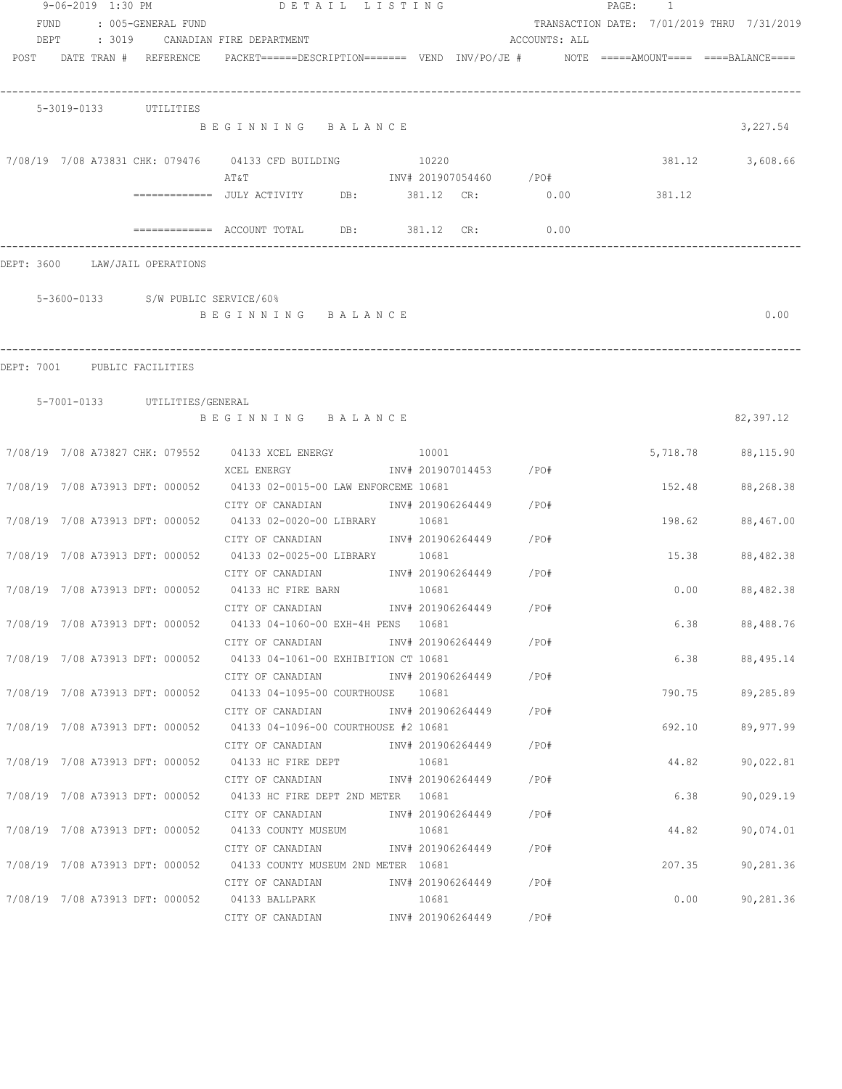|              | 9-06-2019 1:30 PM |                                    | DETAIL LISTING                                                                                |       |                         |                         | PAGE: 1 |                                            |
|--------------|-------------------|------------------------------------|-----------------------------------------------------------------------------------------------|-------|-------------------------|-------------------------|---------|--------------------------------------------|
| FUND<br>DEPT |                   | : 005-GENERAL FUND                 | : 3019     CANADIAN FIRE DEPARTMENT                                                           |       |                         | ACCOUNTS: ALL           |         | TRANSACTION DATE: 7/01/2019 THRU 7/31/2019 |
|              |                   | POST DATE TRAN # REFERENCE         | $PACKET == == = DESCRIPTION == == == $ VEND $INV/PO/JE$ # NOTE =====AMOUNT==== ===BALANCE==== |       |                         |                         |         |                                            |
|              |                   | 5-3019-0133 UTILITIES              |                                                                                               |       |                         |                         |         |                                            |
|              |                   |                                    | BEGINNING BALANCE                                                                             |       |                         |                         |         | 3,227.54                                   |
|              |                   |                                    | 7/08/19 7/08 A73831 CHK: 079476 04133 CFD BUILDING<br>AT & T                                  | 10220 |                         | INV# 201907054460 / PO# |         | 381.12<br>3,608.66                         |
|              |                   |                                    |                                                                                               |       |                         |                         | 381.12  |                                            |
|              |                   |                                    | $\text{---}\text{---}\text{---}\text{---}$ ACCOUNT TOTAL DB: 381.12 CR:                       |       |                         | 0.00                    |         |                                            |
|              |                   | DEPT: 3600 LAW/JAIL OPERATIONS     |                                                                                               |       |                         |                         |         |                                            |
|              |                   | 5-3600-0133 S/W PUBLIC SERVICE/60% |                                                                                               |       |                         |                         |         |                                            |
|              |                   |                                    | BEGINNING BALANCE                                                                             |       |                         |                         |         | 0.00                                       |
|              |                   | DEPT: 7001 PUBLIC FACILITIES       |                                                                                               |       |                         |                         |         |                                            |
|              |                   |                                    |                                                                                               |       |                         |                         |         |                                            |
|              |                   | 5-7001-0133 UTILITIES/GENERAL      | BEGINNING BALANCE                                                                             |       |                         |                         |         | 82,397.12                                  |
|              |                   |                                    | 7/08/19 7/08 A73827 CHK: 079552 04133 XCEL ENERGY 10001                                       |       |                         |                         |         | 5,718.78 88,115.90                         |
|              |                   |                                    | XCEL ENERGY<br>7/08/19 7/08 A73913 DFT: 000052 04133 02-0015-00 LAW ENFORCEME 10681           |       | INV# 201907014453 /PO#  |                         |         | 152.48 88,268.38                           |
|              |                   |                                    | CITY OF CANADIAN                                                                              |       | INV# 201906264449 /PO#  |                         |         |                                            |
|              |                   | 7/08/19 7/08 A73913 DFT: 000052    | 04133 02-0020-00 LIBRARY 10681<br>CITY OF CANADIAN                                            |       | INV# 201906264449 / PO# |                         |         | 198.62<br>88,467.00                        |
|              |                   |                                    | 7/08/19 7/08 A73913 DFT: 000052 04133 02-0025-00 LIBRARY 10681                                |       |                         |                         |         | 15.38<br>88,482.38                         |
|              |                   |                                    | CITY OF CANADIAN<br>7/08/19 7/08 A73913 DFT: 000052 04133 HC FIRE BARN                        | 10681 | INV# 201906264449 /PO#  |                         |         | 0.00<br>88,482.38                          |
|              |                   |                                    | CITY OF CANADIAN                                                                              |       | INV# 201906264449       | /PO#                    |         |                                            |
|              |                   |                                    | 7/08/19 7/08 A73913 DFT: 000052 04133 04-1060-00 EXH-4H PENS 10681<br>CITY OF CANADIAN        |       | INV# 201906264449 / PO# |                         |         | 6.38 88,488.76                             |
|              |                   |                                    | 7/08/19 7/08 A73913 DFT: 000052 04133 04-1061-00 EXHIBITION CT 10681                          |       |                         |                         |         | 6.38 88,495.14                             |
|              |                   |                                    | CITY OF CANADIAN<br>7/08/19 7/08 A73913 DFT: 000052 04133 04-1095-00 COURTHOUSE 10681         |       | INV# 201906264449 /PO#  |                         |         | 790.75<br>89,285.89                        |
|              |                   |                                    | CITY OF CANADIAN                                                                              |       | INV# 201906264449 /PO#  |                         |         |                                            |
|              |                   |                                    | 7/08/19 7/08 A73913 DFT: 000052 04133 04-1096-00 COURTHOUSE #2 10681<br>CITY OF CANADIAN      |       | INV# 201906264449       | /PO#                    |         | 692.10<br>89,977.99                        |
|              |                   |                                    | 7/08/19 7/08 A73913 DFT: 000052 04133 HC FIRE DEPT                                            | 10681 |                         |                         |         | 44.82<br>90,022.81                         |
|              |                   | 7/08/19 7/08 A73913 DFT: 000052    | CITY OF CANADIAN<br>04133 HC FIRE DEPT 2ND METER 10681                                        |       | INV# 201906264449       | / PO#                   |         | 6.38<br>90,029.19                          |
|              |                   |                                    | CITY OF CANADIAN                                                                              |       | INV# 201906264449       | /PO#                    |         |                                            |
|              |                   | 7/08/19 7/08 A73913 DFT: 000052    | 04133 COUNTY MUSEUM                                                                           | 10681 |                         | /PO#                    |         | 44.82<br>90,074.01                         |
|              |                   |                                    | CITY OF CANADIAN<br>7/08/19 7/08 A73913 DFT: 000052 04133 COUNTY MUSEUM 2ND METER 10681       |       | INV# 201906264449       |                         |         | 207.35<br>90,281.36                        |
|              |                   |                                    | CITY OF CANADIAN                                                                              |       | INV# 201906264449 /PO#  |                         |         |                                            |
|              |                   |                                    | 7/08/19  7/08  A73913  DFT:  000052  04133  BALLPARK<br>CITY OF CANADIAN                      | 10681 | INV# 201906264449       | /PO#                    |         | 90,281.36<br>0.00                          |
|              |                   |                                    |                                                                                               |       |                         |                         |         |                                            |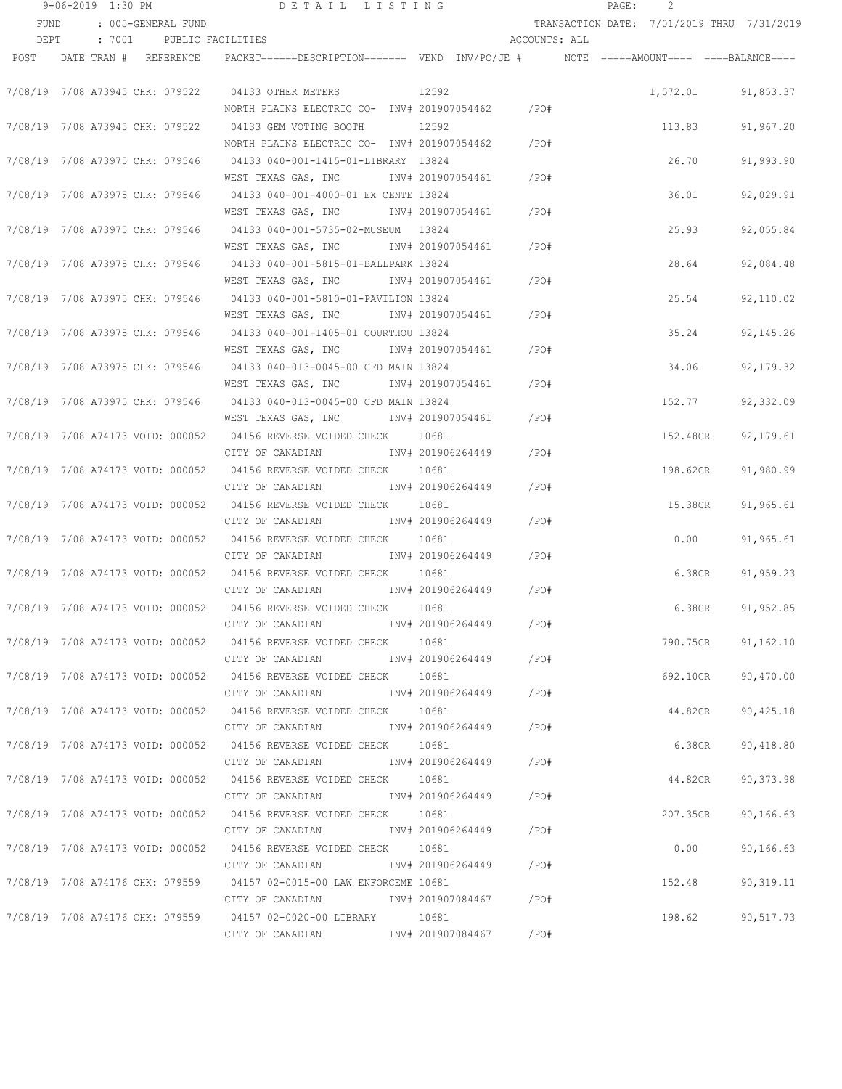|      | 9-06-2019 1:30 PM |                                  | DETAIL LISTING                                                                                                   |                         |               | 2<br>PAGE:                                 |             |
|------|-------------------|----------------------------------|------------------------------------------------------------------------------------------------------------------|-------------------------|---------------|--------------------------------------------|-------------|
| FUND |                   | : 005-GENERAL FUND               |                                                                                                                  |                         |               | TRANSACTION DATE: 7/01/2019 THRU 7/31/2019 |             |
| DEPT |                   | : 7001 PUBLIC FACILITIES         |                                                                                                                  |                         | ACCOUNTS: ALL |                                            |             |
| POST |                   | DATE TRAN # REFERENCE            | PACKET======DESCRIPTION======= VEND INV/PO/JE #    NOTE =====AMOUNT==== ====BALANCE====                          |                         |               |                                            |             |
|      |                   |                                  |                                                                                                                  |                         |               |                                            |             |
|      |                   | 7/08/19 7/08 A73945 CHK: 079522  | 04133 OTHER METERS                                                                                               | 12592                   |               | 1,572.01 91,853.37                         |             |
|      |                   |                                  | NORTH PLAINS ELECTRIC CO- INV# 201907054462                                                                      |                         | /PO#          |                                            |             |
|      |                   | 7/08/19 7/08 A73945 CHK: 079522  | 04133 GEM VOTING BOOTH                                                                                           | 12592                   |               | 113.83                                     | 91,967.20   |
|      |                   |                                  | NORTH PLAINS ELECTRIC CO- INV# 201907054462                                                                      |                         | /PO#          |                                            |             |
|      |                   | 7/08/19 7/08 A73975 CHK: 079546  | 04133 040-001-1415-01-LIBRARY 13824                                                                              |                         |               | 26.70                                      | 91,993.90   |
|      |                   |                                  | WEST TEXAS GAS, INC                                                                                              | INV# 201907054461       | /PO#          |                                            |             |
|      |                   | 7/08/19 7/08 A73975 CHK: 079546  | 04133 040-001-4000-01 EX CENTE 13824                                                                             |                         |               | 36.01                                      | 92,029.91   |
|      |                   |                                  | WEST TEXAS GAS, INC                                                                                              | INV# 201907054461       | /PO#          |                                            |             |
|      |                   | 7/08/19 7/08 A73975 CHK: 079546  | 04133 040-001-5735-02-MUSEUM 13824                                                                               |                         |               | 25.93                                      | 92,055.84   |
|      |                   |                                  | WEST TEXAS GAS, INC                                                                                              | INV# 201907054461       | /PO#          |                                            |             |
|      |                   | 7/08/19 7/08 A73975 CHK: 079546  | 04133 040-001-5815-01-BALLPARK 13824                                                                             |                         |               | 28.64                                      | 92,084.48   |
|      |                   |                                  | WEST TEXAS GAS, INC MONTH 201907054461                                                                           |                         | /PO#          |                                            |             |
|      |                   | 7/08/19 7/08 A73975 CHK: 079546  | 04133 040-001-5810-01-PAVILION 13824                                                                             |                         | /PO#          | 25.54                                      | 92,110.02   |
|      |                   |                                  | WEST TEXAS GAS, INC MONTH 201907054461<br>04133 040-001-1405-01 COURTHOU 13824                                   |                         |               |                                            |             |
|      |                   | 7/08/19 7/08 A73975 CHK: 079546  |                                                                                                                  |                         | /PO#          | 35.24                                      | 92, 145.26  |
|      |                   | 7/08/19 7/08 A73975 CHK: 079546  | WEST TEXAS GAS, INC MONTH 201907054461<br>04133 040-013-0045-00 CFD MAIN 13824                                   |                         |               | 34.06                                      |             |
|      |                   |                                  | WEST TEXAS GAS, INC MONTH 201907054461                                                                           |                         | /PO#          |                                            | 92, 179. 32 |
|      |                   |                                  | 7/08/19 7/08 A73975 CHK: 079546 04133 040-013-0045-00 CFD MAIN 13824                                             |                         |               | 152.77                                     | 92,332.09   |
|      |                   |                                  | WEST TEXAS GAS, INC MONTH 201907054461                                                                           |                         | /PO#          |                                            |             |
|      |                   |                                  | 7/08/19 7/08 A74173 VOID: 000052 04156 REVERSE VOIDED CHECK 10681                                                |                         |               | 152.48CR                                   | 92, 179.61  |
|      |                   |                                  | CITY OF CANADIAN                                                                                                 | INV# 201906264449       | /PO#          |                                            |             |
|      |                   |                                  | 7/08/19 7/08 A74173 VOID: 000052 04156 REVERSE VOIDED CHECK 10681                                                |                         |               | 198.62CR                                   | 91,980.99   |
|      |                   |                                  | CITY OF CANADIAN                                                                                                 | INV# 201906264449       | /PO#          |                                            |             |
|      |                   | 7/08/19 7/08 A74173 VOID: 000052 | 04156 REVERSE VOIDED CHECK                                                                                       | 10681                   |               | 15.38CR                                    | 91,965.61   |
|      |                   |                                  | CITY OF CANADIAN                                                                                                 | INV# 201906264449       | /PO#          |                                            |             |
|      |                   |                                  | 7/08/19 7/08 A74173 VOID: 000052 04156 REVERSE VOIDED CHECK                                                      | 10681                   |               | 0.00                                       | 91,965.61   |
|      |                   |                                  | CITY OF CANADIAN                                                                                                 | INV# 201906264449       | /PO#          |                                            |             |
|      |                   |                                  | 7/08/19 7/08 A74173 VOID: 000052 04156 REVERSE VOIDED CHECK                                                      | 10681                   |               | 6.38CR                                     | 91,959.23   |
|      |                   |                                  | CITY OF CANADIAN                                                                                                 | INV# 201906264449       | /PO#          |                                            |             |
|      |                   |                                  | 7/08/19 7/08 A74173 VOID: 000052 04156 REVERSE VOIDED CHECK 10681                                                |                         |               | 6.38CR                                     | 91,952.85   |
|      |                   |                                  | CITY OF CANADIAN                                                                                                 | INV# 201906264449       | /PO#          |                                            |             |
|      |                   |                                  | 7/08/19 7/08 A74173 VOID: 000052 04156 REVERSE VOIDED CHECK 10681                                                |                         |               | 790.75CR                                   | 91,162.10   |
|      |                   |                                  | CITY OF CANADIAN MW# 201906264449 / PO#                                                                          |                         |               |                                            |             |
|      |                   |                                  | 7/08/19 7/08 A74173 VOID: 000052 04156 REVERSE VOIDED CHECK 10681                                                |                         |               | 692.10CR                                   | 90,470.00   |
|      |                   |                                  | CITY OF CANADIAN               INV# 201906264449                                                                 |                         | / PO#         |                                            |             |
|      |                   |                                  | 7/08/19 7/08 A74173 VOID: 000052 04156 REVERSE VOIDED CHECK 10681                                                |                         |               | 44.82CR                                    | 90,425.18   |
|      |                   |                                  | CITY OF CANADIAN                                                                                                 | INV# 201906264449       | /PO#          |                                            |             |
|      |                   |                                  | 7/08/19 7/08 A74173 VOID: 000052 04156 REVERSE VOIDED CHECK 10681                                                |                         |               | 6.38CR                                     | 90,418.80   |
|      |                   |                                  | CITY OF CANADIAN                                                                                                 | INV# 201906264449 /PO#  |               |                                            |             |
|      |                   |                                  | 7/08/19 7/08 A74173 VOID: 000052 04156 REVERSE VOIDED CHECK 10681                                                |                         |               | 44.82CR                                    | 90,373.98   |
|      |                   |                                  | CITY OF CANADIAN                                                                                                 | INV# 201906264449 /PO#  |               |                                            |             |
|      |                   |                                  |                                                                                                                  | 10681                   |               | 207.35CR                                   | 90, 166.63  |
|      |                   |                                  | CITY OF CANADIAN                                                                                                 | INV# 201906264449 /PO#  |               |                                            |             |
|      |                   |                                  | 7/08/19 7/08 A74173 VOID: 000052 04156 REVERSE VOIDED CHECK 10681                                                | INV# 201906264449 / PO# |               | 0.00                                       | 90,166.63   |
|      |                   |                                  | CITY OF CANADIAN                                                                                                 |                         |               |                                            |             |
|      |                   |                                  | 7/08/19 7/08 A74176 CHK: 079559 04157 02-0015-00 LAW ENFORCEME 10681<br>CITY OF CANADIAN 1NV# 201907084467 / PO# |                         |               | 152.48                                     | 90,319.11   |
|      |                   |                                  | 7/08/19 7/08 A74176 CHK: 079559 04157 02-0020-00 LIBRARY 10681                                                   |                         |               | 198.62                                     | 90,517.73   |
|      |                   |                                  | CITY OF CANADIAN MOTHOM INV# 201907084467 / PO#                                                                  |                         |               |                                            |             |
|      |                   |                                  |                                                                                                                  |                         |               |                                            |             |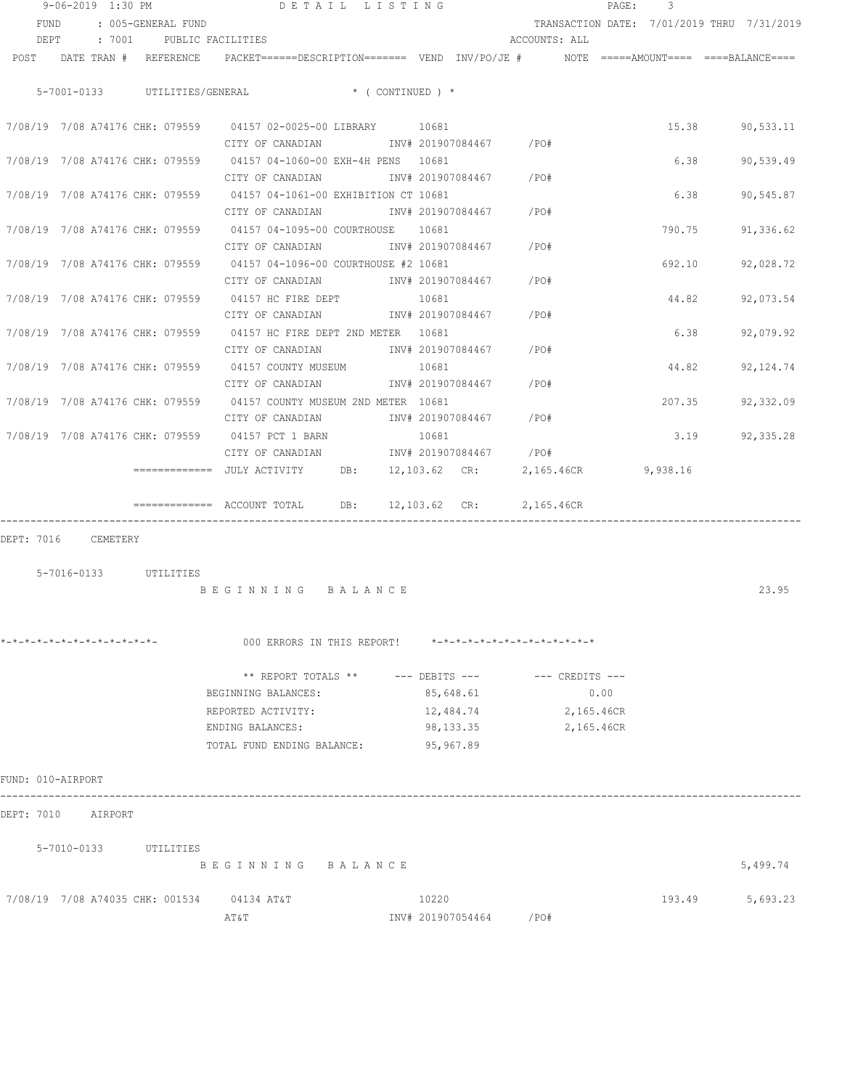|                                 | 9-06-2019 1:30 PM |          |                               |                                                                                         | DETAIL LISTING                |                                    |               | PAGE:                    | 3        |                                            |
|---------------------------------|-------------------|----------|-------------------------------|-----------------------------------------------------------------------------------------|-------------------------------|------------------------------------|---------------|--------------------------|----------|--------------------------------------------|
| FUND                            |                   |          | : 005-GENERAL FUND            |                                                                                         |                               |                                    |               |                          |          | TRANSACTION DATE: 7/01/2019 THRU 7/31/2019 |
| DEPT                            |                   | : 7001   |                               | PUBLIC FACILITIES                                                                       |                               |                                    | ACCOUNTS: ALL |                          |          |                                            |
| POST                            |                   |          | DATE TRAN # REFERENCE         | PACKET======DESCRIPTION======= VEND INV/PO/JE #    NOTE =====AMOUNT==== ====BALANCE==== |                               |                                    |               |                          |          |                                            |
|                                 |                   |          | 5-7001-0133 UTILITIES/GENERAL |                                                                                         | $\star$ ( CONTINUED ) $\star$ |                                    |               |                          |          |                                            |
|                                 |                   |          |                               |                                                                                         |                               |                                    |               |                          |          |                                            |
|                                 |                   |          |                               | 7/08/19 7/08 A74176 CHK: 079559 04157 02-0025-00 LIBRARY 10681                          |                               |                                    |               |                          | 15.38    | 90,533.11                                  |
|                                 |                   |          |                               | CITY OF CANADIAN                                                                        |                               | INV# 201907084467 /PO#             |               |                          |          |                                            |
| 7/08/19 7/08 A74176 CHK: 079559 |                   |          |                               | 04157 04-1060-00 EXH-4H PENS 10681                                                      |                               |                                    |               |                          | 6.38     | 90,539.49                                  |
|                                 |                   |          |                               | CITY OF CANADIAN                                                                        |                               | INV# 201907084467                  | /PO#          |                          |          |                                            |
| 7/08/19 7/08 A74176 CHK: 079559 |                   |          |                               | 04157 04-1061-00 EXHIBITION CT 10681                                                    |                               |                                    |               |                          | 6.38     | 90,545.87                                  |
|                                 |                   |          |                               | CITY OF CANADIAN                                                                        |                               | INV# 201907084467                  | /PO#          |                          |          |                                            |
| 7/08/19 7/08 A74176 CHK: 079559 |                   |          |                               | 04157  04-1095-00  COURTHOUSE                                                           |                               | 10681                              |               |                          | 790.75   | 91,336.62                                  |
|                                 |                   |          |                               | CITY OF CANADIAN                                                                        |                               | INV# 201907084467                  | /P0#          |                          |          |                                            |
| 7/08/19 7/08 A74176 CHK: 079559 |                   |          |                               | 04157 04-1096-00 COURTHOUSE #2 10681                                                    |                               |                                    |               |                          | 692.10   | 92,028.72                                  |
|                                 |                   |          |                               | CITY OF CANADIAN                                                                        |                               | INV# 201907084467                  | /P0#          |                          |          |                                            |
| 7/08/19 7/08 A74176 CHK: 079559 |                   |          |                               | 04157 HC FIRE DEPT                                                                      |                               | 10681                              |               |                          | 44.82    | 92,073.54                                  |
|                                 |                   |          |                               | CITY OF CANADIAN                                                                        |                               | INV# 201907084467                  | /PO#          |                          |          |                                            |
| 7/08/19 7/08 A74176 CHK: 079559 |                   |          |                               | 04157 HC FIRE DEPT 2ND METER 10681                                                      |                               |                                    |               |                          | 6.38     | 92,079.92                                  |
|                                 |                   |          |                               | CITY OF CANADIAN                                                                        |                               | INV# 201907084467                  | /PO#          |                          | 44.82    |                                            |
| 7/08/19 7/08 A74176 CHK: 079559 |                   |          |                               | 04157 COUNTY MUSEUM<br>CITY OF CANADIAN                                                 |                               | 10681<br>INV# 201907084467         | /PO#          |                          |          | 92,124.74                                  |
|                                 |                   |          |                               | 7/08/19 7/08 A74176 CHK: 079559 04157 COUNTY MUSEUM 2ND METER 10681                     |                               |                                    |               |                          | 207.35   | 92,332.09                                  |
|                                 |                   |          |                               | CITY OF CANADIAN                                                                        |                               | INV# 201907084467                  | /PO#          |                          |          |                                            |
|                                 |                   |          |                               | 7/08/19 7/08 A74176 CHK: 079559 04157 PCT 1 BARN                                        |                               | 10681                              |               |                          | 3.19     | 92, 335.28                                 |
|                                 |                   |          |                               | CITY OF CANADIAN                                                                        |                               | INV# 201907084467                  | $/$ PO#       |                          |          |                                            |
|                                 |                   |          |                               |                                                                                         |                               | 12,103.62 CR:                      |               | 2,165.46CR               | 9,938.16 |                                            |
|                                 |                   |          |                               |                                                                                         |                               |                                    |               |                          |          |                                            |
|                                 |                   |          |                               | ========= ACCOUNT TOTAL DB:                                                             |                               | 12,103.62 CR:                      | 2,165.46CR    |                          |          |                                            |
|                                 |                   |          |                               |                                                                                         |                               |                                    |               |                          |          |                                            |
| DEPT: 7016                      |                   | CEMETERY |                               |                                                                                         |                               |                                    |               |                          |          |                                            |
|                                 | 5-7016-0133       |          | UTILITIES                     |                                                                                         |                               |                                    |               |                          |          |                                            |
|                                 |                   |          |                               | BEGINNING BALANCE                                                                       |                               |                                    |               |                          |          | 23.95                                      |
|                                 |                   |          |                               |                                                                                         |                               |                                    |               |                          |          |                                            |
|                                 |                   |          |                               |                                                                                         |                               |                                    |               |                          |          |                                            |
| *-*-*-*-*-*-*-*-*-*-*-*-*-*-    |                   |          |                               | 000 ERRORS IN THIS REPORT!                                                              |                               | *-*-*-*-*-*-*-*-*-*-*-*-*-*-*      |               |                          |          |                                            |
|                                 |                   |          |                               |                                                                                         |                               |                                    |               |                          |          |                                            |
|                                 |                   |          |                               |                                                                                         |                               | ** REPORT TOTALS ** --- DEBITS --- |               | --- CREDITS ---          |          |                                            |
|                                 |                   |          |                               | BEGINNING BALANCES:                                                                     |                               | 85,648.61                          |               | 0.00                     |          |                                            |
|                                 |                   |          |                               | REPORTED ACTIVITY:<br>ENDING BALANCES:                                                  |                               | 12,484.74<br>98,133.35             |               | 2,165.46CR<br>2,165.46CR |          |                                            |
|                                 |                   |          |                               |                                                                                         |                               | 95,967.89                          |               |                          |          |                                            |
|                                 |                   |          |                               | TOTAL FUND ENDING BALANCE:                                                              |                               |                                    |               |                          |          |                                            |
| FUND: 010-AIRPORT               |                   |          |                               |                                                                                         |                               |                                    |               |                          |          |                                            |
| DEPT: 7010                      |                   | AIRPORT  |                               |                                                                                         |                               |                                    |               |                          |          |                                            |
|                                 |                   |          |                               |                                                                                         |                               |                                    |               |                          |          |                                            |
|                                 |                   |          | 5-7010-0133 UTILITIES         |                                                                                         |                               |                                    |               |                          |          |                                            |
|                                 |                   |          |                               | BEGINNING BALANCE                                                                       |                               |                                    |               |                          |          | 5,499.74                                   |
| 7/08/19 7/08 A74035 CHK: 001534 |                   |          |                               | 04134 AT&T                                                                              |                               | 10220                              |               |                          | 193.49   | 5,693.23                                   |
|                                 |                   |          |                               | AT&T                                                                                    |                               | INV# 201907054464                  | /PO#          |                          |          |                                            |
|                                 |                   |          |                               |                                                                                         |                               |                                    |               |                          |          |                                            |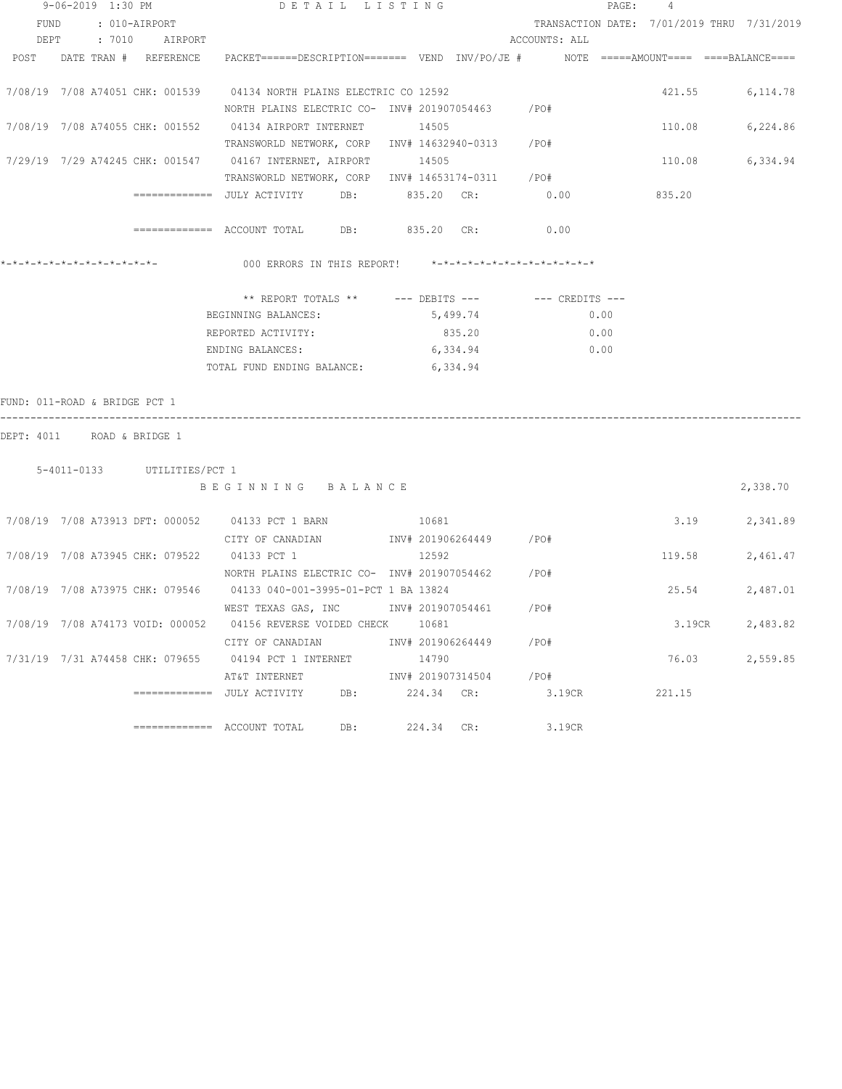|                                  | 9-06-2019 1:30 PM |                             |                                                                                                    | DETAIL LISTING |            |                   |                         |        | PAGE: | 4                                          |          |
|----------------------------------|-------------------|-----------------------------|----------------------------------------------------------------------------------------------------|----------------|------------|-------------------|-------------------------|--------|-------|--------------------------------------------|----------|
| FUND                             | : 010-AIRPORT     |                             |                                                                                                    |                |            |                   |                         |        |       | TRANSACTION DATE: 7/01/2019 THRU 7/31/2019 |          |
|                                  |                   | DEPT : 7010 AIRPORT         |                                                                                                    |                |            |                   | ACCOUNTS: ALL           |        |       |                                            |          |
| POST                             |                   | DATE TRAN # REFERENCE       | PACKET======DESCRIPTION========  VEND  INV/PO/JE #          NOTE  =====AMOUNT====  ====BALANCE==== |                |            |                   |                         |        |       |                                            |          |
|                                  |                   |                             |                                                                                                    |                |            |                   |                         |        |       |                                            |          |
|                                  |                   |                             | 7/08/19 7/08 A74051 CHK: 001539 04134 NORTH PLAINS ELECTRIC CO 12592                               |                |            |                   |                         |        |       | 421.55 6,114.78                            |          |
|                                  |                   |                             | NORTH PLAINS ELECTRIC CO- INV# 201907054463 / PO#                                                  |                |            |                   |                         |        |       |                                            |          |
|                                  |                   |                             | 7/08/19  7/08  A74055  CHK: 001552  04134  AIRPORT INTERNET                                        |                | 14505      |                   |                         |        |       | 110.08                                     | 6,224.86 |
|                                  |                   |                             | TRANSWORLD NETWORK, CORP INV# 14632940-0313 /PO#                                                   |                |            |                   |                         |        |       |                                            |          |
|                                  |                   |                             | 7/29/19  7/29  A74245  CHK: 001547  04167  INTERNET, AIRPORT                                       |                | 14505      |                   |                         |        |       | 110.08                                     | 6,334.94 |
|                                  |                   |                             | TRANSWORLD NETWORK, CORP INV# 14653174-0311 / PO#                                                  |                |            |                   |                         |        |       |                                            |          |
|                                  |                   |                             |                                                                                                    |                |            | 835.20 CR:        | 0.00                    |        |       | 835.20                                     |          |
|                                  |                   |                             |                                                                                                    |                |            |                   | 0.00                    |        |       |                                            |          |
|                                  |                   |                             | 000 ERRORS IN THIS REPORT! *-*-*-*-*-*-*-*-*-*-*-*-*-*-                                            |                |            |                   |                         |        |       |                                            |          |
|                                  |                   |                             | ** REPORT TOTALS ** --- DEBITS --- -- -- CREDITS ---                                               |                |            |                   |                         |        |       |                                            |          |
|                                  |                   |                             | BEGINNING BALANCES:                                                                                |                |            | 5,499.74          |                         | 0.00   |       |                                            |          |
|                                  |                   |                             | REPORTED ACTIVITY:                                                                                 |                |            | 835.20            |                         | 0.00   |       |                                            |          |
|                                  |                   |                             | ENDING BALANCES:                                                                                   |                |            | 6,334.94          |                         | 0.00   |       |                                            |          |
|                                  |                   |                             | TOTAL FUND ENDING BALANCE:                                                                         |                | 6,334.94   |                   |                         |        |       |                                            |          |
|                                  |                   |                             |                                                                                                    |                |            |                   |                         |        |       |                                            |          |
| FUND: 011-ROAD & BRIDGE PCT 1    |                   |                             |                                                                                                    |                |            |                   |                         |        |       |                                            |          |
| DEPT: 4011 ROAD & BRIDGE 1       |                   |                             |                                                                                                    |                |            |                   |                         |        |       |                                            |          |
|                                  |                   | 5-4011-0133 UTILITIES/PCT 1 |                                                                                                    |                |            |                   |                         |        |       |                                            |          |
|                                  |                   |                             | BEGINNING BALANCE                                                                                  |                |            |                   |                         |        |       |                                            | 2,338.70 |
|                                  |                   |                             |                                                                                                    |                |            |                   |                         |        |       |                                            |          |
|                                  |                   |                             | 7/08/19 7/08 A73913 DFT: 000052 04133 PCT 1 BARN                                                   | 10681          |            |                   |                         |        |       | 3.19                                       | 2,341.89 |
|                                  |                   |                             | CITY OF CANADIAN                                                                                   |                |            |                   | INV# 201906264449 / PO# |        |       |                                            |          |
|                                  |                   |                             | 7/08/19 7/08 A73945 CHK: 079522 04133 PCT 1                                                        |                | 12592      |                   |                         |        |       | 119.58                                     | 2,461.47 |
|                                  |                   |                             | NORTH PLAINS ELECTRIC CO- INV# 201907054462 / PO#                                                  |                |            |                   |                         |        |       |                                            |          |
|                                  |                   |                             | 7/08/19 7/08 A73975 CHK: 079546 04133 040-001-3995-01-PCT 1 BA 13824                               |                |            |                   |                         |        |       | 25.54                                      | 2,487.01 |
|                                  |                   |                             | WEST TEXAS GAS, INC MONTH 201907054461                                                             |                |            |                   | /PO#                    |        |       |                                            |          |
| 7/08/19 7/08 A74173 VOID: 000052 |                   |                             | 04156 REVERSE VOIDED CHECK                                                                         |                | 10681      |                   |                         |        |       | 3.19CR                                     | 2,483.82 |
|                                  |                   |                             | CITY OF CANADIAN                                                                                   |                |            | INV# 201906264449 | /PO#                    |        |       |                                            |          |
| 7/31/19 7/31 A74458 CHK: 079655  |                   |                             | 04194 PCT 1 INTERNET                                                                               |                | 14790      |                   |                         |        |       | 76.03                                      | 2,559.85 |
|                                  |                   |                             |                                                                                                    |                |            | INV# 201907314504 | /PO#                    |        |       |                                            |          |
|                                  |                   |                             | AT&T INTERNET<br>============  JULY ACTIVITY                                                       | DB:            | 224.34 CR: |                   |                         | 3.19CR |       | 221.15                                     |          |
|                                  |                   |                             |                                                                                                    |                |            |                   |                         |        |       |                                            |          |
|                                  |                   |                             | $=$ ============ ACCOUNT TOTAL                                                                     | DB:            | 224.34 CR: |                   |                         | 3.19CR |       |                                            |          |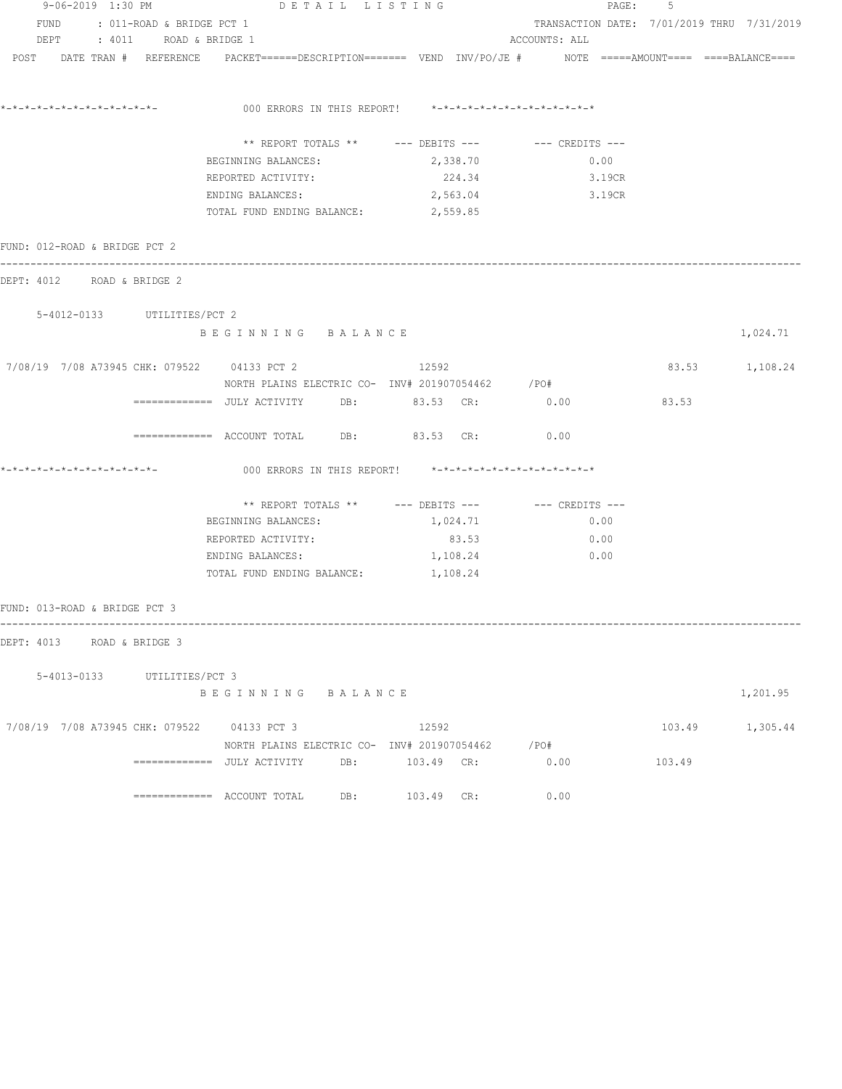|  | 9-06-2019 1:30 PM             |                                | DETAIL LISTING                              |                                                                                                                 |               |        | PAGE: 5 |                                            |
|--|-------------------------------|--------------------------------|---------------------------------------------|-----------------------------------------------------------------------------------------------------------------|---------------|--------|---------|--------------------------------------------|
|  |                               | FUND : 011-ROAD & BRIDGE PCT 1 |                                             |                                                                                                                 |               |        |         | TRANSACTION DATE: 7/01/2019 THRU 7/31/2019 |
|  |                               | DEPT : 4011 ROAD & BRIDGE 1    |                                             |                                                                                                                 | ACCOUNTS: ALL |        |         |                                            |
|  |                               |                                |                                             | POST DATE TRAN # REFERENCE PACKET======DESCRIPTION======= VEND INV/PO/JE # NOTE =====AMOUNT==== ====BALANCE==== |               |        |         |                                            |
|  |                               |                                |                                             | 000 ERRORS IN THIS REPORT! *-*-*-*-*-*-*-*-*-*-*-*-*-*-                                                         |               |        |         |                                            |
|  |                               |                                |                                             |                                                                                                                 |               |        |         |                                            |
|  |                               |                                |                                             | ** REPORT TOTALS ** --- DEBITS --- -- -- CREDITS ---                                                            |               |        |         |                                            |
|  |                               |                                | BEGINNING BALANCES:                         | 2,338.70                                                                                                        |               | 0.00   |         |                                            |
|  |                               |                                | REPORTED ACTIVITY:                          | 224.34                                                                                                          |               | 3.19CR |         |                                            |
|  |                               |                                | ENDING BALANCES:                            | 2,563.04                                                                                                        | 3.19CR        |        |         |                                            |
|  |                               |                                | TOTAL FUND ENDING BALANCE: 2,559.85         |                                                                                                                 |               |        |         |                                            |
|  | FUND: 012-ROAD & BRIDGE PCT 2 |                                |                                             |                                                                                                                 |               |        |         |                                            |
|  |                               | DEPT: 4012 ROAD & BRIDGE 2     |                                             |                                                                                                                 |               |        |         |                                            |
|  |                               | 5-4012-0133 UTILITIES/PCT 2    |                                             |                                                                                                                 |               |        |         |                                            |
|  |                               |                                | BEGINNING BALANCE                           |                                                                                                                 |               |        |         | 1,024.71                                   |
|  |                               |                                | 7/08/19 7/08 A73945 CHK: 079522 04133 PCT 2 | 12592                                                                                                           |               |        |         | 83.53 1,108.24                             |
|  |                               |                                |                                             | NORTH PLAINS ELECTRIC CO- INV# 201907054462 / PO#                                                               |               |        |         |                                            |
|  |                               |                                |                                             | =============    JULY  ACTIVITY         DB:                83.53     CR:                     0.00               |               |        | 83.53   |                                            |
|  |                               |                                | ============= ACCOUNT TOTAL DB: 83.53 CR:   |                                                                                                                 | 0.00          |        |         |                                            |
|  |                               |                                |                                             | 000 ERRORS IN THIS REPORT! *-*-*-*-*-*-*-*-*-*-*-*-*-*-                                                         |               |        |         |                                            |
|  |                               |                                |                                             |                                                                                                                 |               |        |         |                                            |
|  |                               |                                | BEGINNING BALANCES:                         | 1,024.71                                                                                                        |               | 0.00   |         |                                            |
|  |                               |                                | REPORTED ACTIVITY:                          | 83.53                                                                                                           |               | 0.00   |         |                                            |
|  |                               |                                | ENDING BALANCES:                            | 1,108.24                                                                                                        |               | 0.00   |         |                                            |
|  |                               |                                | TOTAL FUND ENDING BALANCE: 1, 108.24        |                                                                                                                 |               |        |         |                                            |
|  | FUND: 013-ROAD & BRIDGE PCT 3 |                                |                                             |                                                                                                                 |               |        |         |                                            |
|  |                               | DEPT: 4013 ROAD & BRIDGE 3     |                                             |                                                                                                                 |               |        |         |                                            |
|  |                               | 5-4013-0133 UTILITIES/PCT 3    |                                             |                                                                                                                 |               |        |         |                                            |
|  |                               |                                | BEGINNING BALANCE                           |                                                                                                                 |               |        |         | 1,201.95                                   |
|  |                               |                                | 7/08/19 7/08 A73945 CHK: 079522 04133 PCT 3 | 12592                                                                                                           |               |        |         | 103.49 1,305.44                            |
|  |                               |                                |                                             | NORTH PLAINS ELECTRIC CO- INV# 201907054462 / PO#                                                               |               |        |         |                                            |
|  |                               |                                |                                             |                                                                                                                 | 0.00          |        | 103.49  |                                            |
|  |                               |                                |                                             | 103.49 CR:                                                                                                      | 0.00          |        |         |                                            |